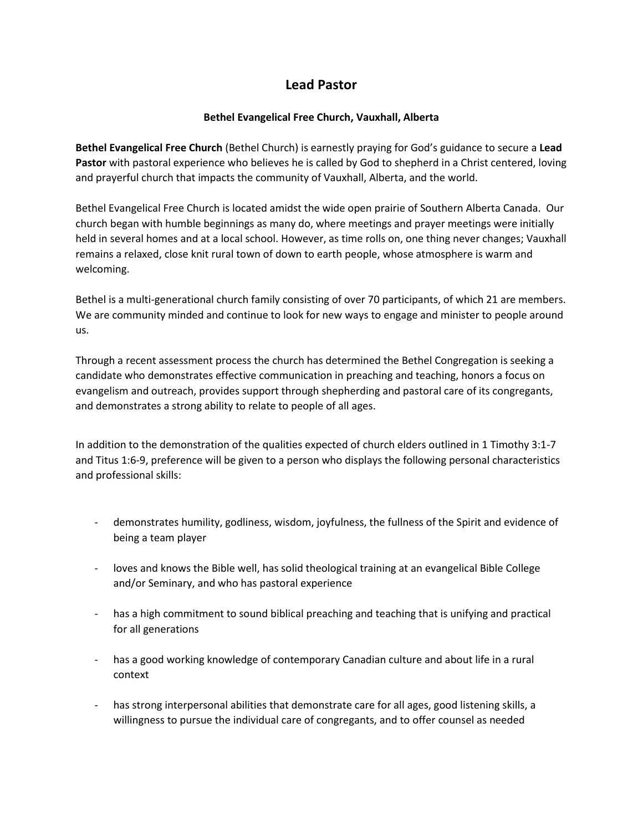## **Lead Pastor**

## **Bethel Evangelical Free Church, Vauxhall, Alberta**

**Bethel Evangelical Free Church** (Bethel Church) is earnestly praying for God's guidance to secure a **Lead Pastor** with pastoral experience who believes he is called by God to shepherd in a Christ centered, loving and prayerful church that impacts the community of Vauxhall, Alberta, and the world.

Bethel Evangelical Free Church is located amidst the wide open prairie of Southern Alberta Canada. Our church began with humble beginnings as many do, where meetings and prayer meetings were initially held in several homes and at a local school. However, as time rolls on, one thing never changes; Vauxhall remains a relaxed, close knit rural town of down to earth people, whose atmosphere is warm and welcoming.

Bethel is a multi-generational church family consisting of over 70 participants, of which 21 are members. We are community minded and continue to look for new ways to engage and minister to people around us.

Through a recent assessment process the church has determined the Bethel Congregation is seeking a candidate who demonstrates effective communication in preaching and teaching, honors a focus on evangelism and outreach, provides support through shepherding and pastoral care of its congregants, and demonstrates a strong ability to relate to people of all ages.

In addition to the demonstration of the qualities expected of church elders outlined in 1 Timothy 3:1-7 and Titus 1:6-9, preference will be given to a person who displays the following personal characteristics and professional skills:

- demonstrates humility, godliness, wisdom, joyfulness, the fullness of the Spirit and evidence of being a team player
- loves and knows the Bible well, has solid theological training at an evangelical Bible College and/or Seminary, and who has pastoral experience
- has a high commitment to sound biblical preaching and teaching that is unifying and practical for all generations
- has a good working knowledge of contemporary Canadian culture and about life in a rural context
- has strong interpersonal abilities that demonstrate care for all ages, good listening skills, a willingness to pursue the individual care of congregants, and to offer counsel as needed